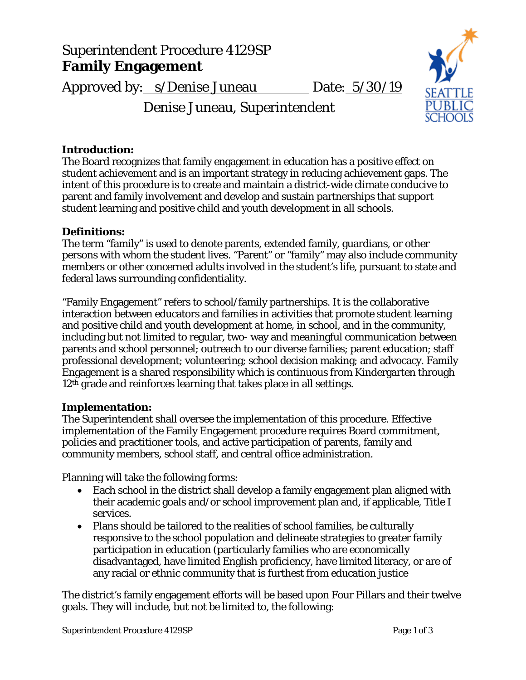# Superintendent Procedure 4129SP **Family Engagement**

Approved by: s/Denise Juneau Date: 5/30/19





## **Introduction:**

The Board recognizes that family engagement in education has a positive effect on student achievement and is an important strategy in reducing achievement gaps. The intent of this procedure is to create and maintain a district-wide climate conducive to parent and family involvement and develop and sustain partnerships that support student learning and positive child and youth development in all schools.

#### **Definitions:**

The term "family" is used to denote parents, extended family, guardians, or other persons with whom the student lives. "Parent" or "family" may also include community members or other concerned adults involved in the student's life, pursuant to state and federal laws surrounding confidentiality.

"Family Engagement" refers to school/family partnerships. It is the collaborative interaction between educators and families in activities that promote student learning and positive child and youth development at home, in school, and in the community, including but not limited to regular, two- way and meaningful communication between parents and school personnel; outreach to our diverse families; parent education; staff professional development; volunteering; school decision making; and advocacy. Family Engagement is a shared responsibility which is continuous from Kindergarten through 12th grade and reinforces learning that takes place in all settings.

#### **Implementation:**

The Superintendent shall oversee the implementation of this procedure. Effective implementation of the Family Engagement procedure requires Board commitment, policies and practitioner tools, and active participation of parents, family and community members, school staff, and central office administration.

Planning will take the following forms:

- Each school in the district shall develop a family engagement plan aligned with their academic goals and/or school improvement plan and, if applicable, Title I services.
- Plans should be tailored to the realities of school families, be culturally responsive to the school population and delineate strategies to greater family participation in education (particularly families who are economically disadvantaged, have limited English proficiency, have limited literacy, or are of any racial or ethnic community that is furthest from education justice

The district's family engagement efforts will be based upon Four Pillars and their twelve goals. They will include, but not be limited to, the following: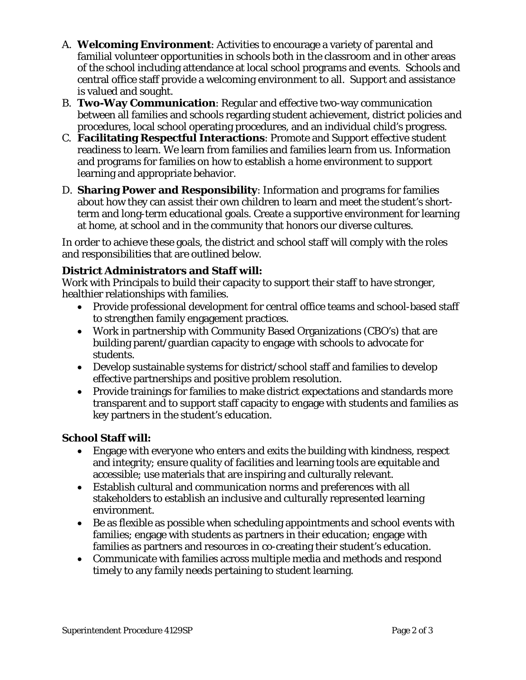- A. **Welcoming Environment**: Activities to encourage a variety of parental and familial volunteer opportunities in schools both in the classroom and in other areas of the school including attendance at local school programs and events. Schools and central office staff provide a welcoming environment to all. Support and assistance is valued and sought.
- B. **Two-Way Communication**: Regular and effective two-way communication between all families and schools regarding student achievement, district policies and procedures, local school operating procedures, and an individual child's progress.
- C. **Facilitating Respectful Interactions**: Promote and Support effective student readiness to learn. We learn from families and families learn from us. Information and programs for families on how to establish a home environment to support learning and appropriate behavior.
- D. **Sharing Power and Responsibility**: Information and programs for families about how they can assist their own children to learn and meet the student's shortterm and long-term educational goals. Create a supportive environment for learning at home, at school and in the community that honors our diverse cultures.

In order to achieve these goals, the district and school staff will comply with the roles and responsibilities that are outlined below.

## **District Administrators and Staff will:**

Work with Principals to build their capacity to support their staff to have stronger, healthier relationships with families.

- Provide professional development for central office teams and school-based staff to strengthen family engagement practices.
- Work in partnership with Community Based Organizations (CBO's) that are building parent/guardian capacity to engage with schools to advocate for students.
- Develop sustainable systems for district/school staff and families to develop effective partnerships and positive problem resolution.
- Provide trainings for families to make district expectations and standards more transparent and to support staff capacity to engage with students and families as key partners in the student's education.

# **School Staff will:**

- Engage with everyone who enters and exits the building with kindness, respect and integrity; ensure quality of facilities and learning tools are equitable and accessible; use materials that are inspiring and culturally relevant.
- Establish cultural and communication norms and preferences with all stakeholders to establish an inclusive and culturally represented learning environment.
- Be as flexible as possible when scheduling appointments and school events with families; engage with students as partners in their education; engage with families as partners and resources in co-creating their student's education.
- Communicate with families across multiple media and methods and respond timely to any family needs pertaining to student learning.